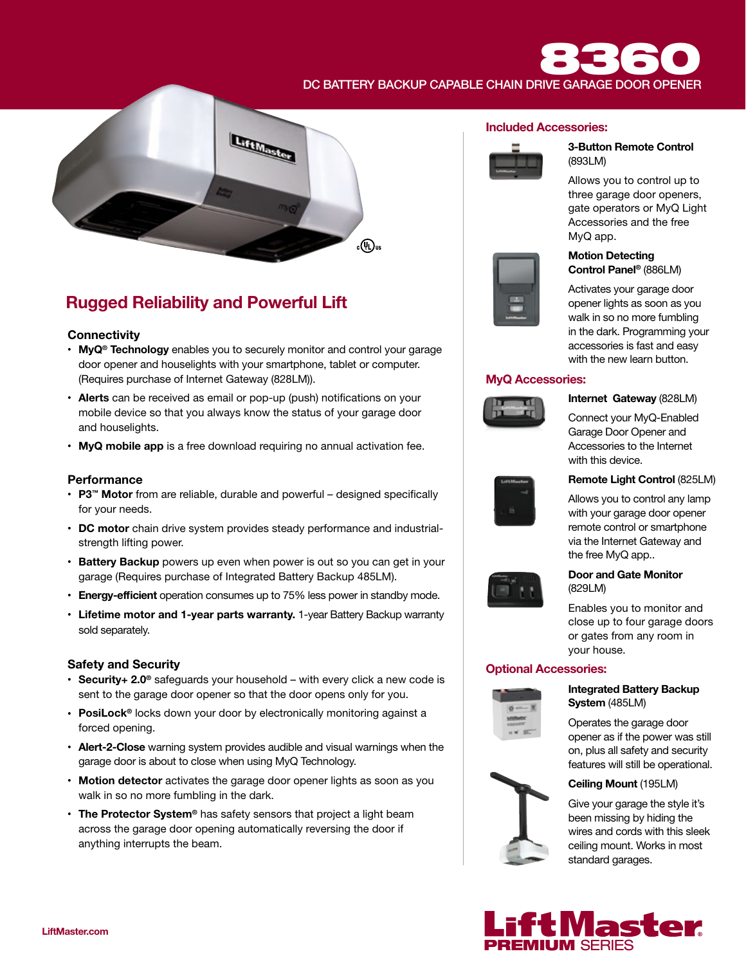# DC BATTERY BACKUP CAPABLE CHAIN DRIVE GARAGE DOOR OPENER



# Rugged Reliability and Powerful Lift

#### **Connectivity**

- MyQ<sup>®</sup> Technology enables you to securely monitor and control your garage door opener and houselights with your smartphone, tablet or computer. (Requires purchase of Internet Gateway (828LM)).
- Alerts can be received as email or pop-up (push) notifications on your mobile device so that you always know the status of your garage door and houselights.
- MyQ mobile app is a free download requiring no annual activation fee.

#### **Performance**

- P3™ Motor from are reliable, durable and powerful designed specifically for your needs.
- DC motor chain drive system provides steady performance and industrialstrength lifting power.
- Battery Backup powers up even when power is out so you can get in your garage (Requires purchase of Integrated Battery Backup 485LM).
- Energy-efficient operation consumes up to 75% less power in standby mode.
- Lifetime motor and 1-year parts warranty. 1-year Battery Backup warranty sold separately.

#### Safety and Security

- Security+ 2.0<sup>®</sup> safeguards your household with every click a new code is sent to the garage door opener so that the door opens only for you.
- PosiLock<sup>®</sup> locks down your door by electronically monitoring against a forced opening.
- Alert-2-Close warning system provides audible and visual warnings when the garage door is about to close when using MyQ Technology.
- Motion detector activates the garage door opener lights as soon as you walk in so no more fumbling in the dark.
- The Protector System<sup>®</sup> has safety sensors that project a light beam across the garage door opening automatically reversing the door if anything interrupts the beam.

#### Included Accessories:



#### 3-Button Remote Control (893LM)

Allows you to control up to three garage door openers, gate operators or MyQ Light Accessories and the free MyQ app.



#### Motion Detecting Control Panel® (886LM)

Activates your garage door opener lights as soon as you walk in so no more fumbling in the dark. Programming your accessories is fast and easy with the new learn button.

#### MyQ Accessories:



Internet Gateway (828LM)

Connect your MyQ-Enabled Garage Door Opener and Accessories to the Internet with this device.



#### Remote Light Control (825LM)

Allows you to control any lamp with your garage door opener remote control or smartphone via the Internet Gateway and the free MyQ app..



#### Door and Gate Monitor (829LM)

Enables you to monitor and close up to four garage doors or gates from any room in your house.

#### Optional Accessories:



Integrated Battery Backup System (485LM)

Operates the garage door opener as if the power was still on, plus all safety and security features will still be operational.

#### Ceiling Mount (195LM)

Give your garage the style it's been missing by hiding the wires and cords with this sleek ceiling mount. Works in most standard garages.